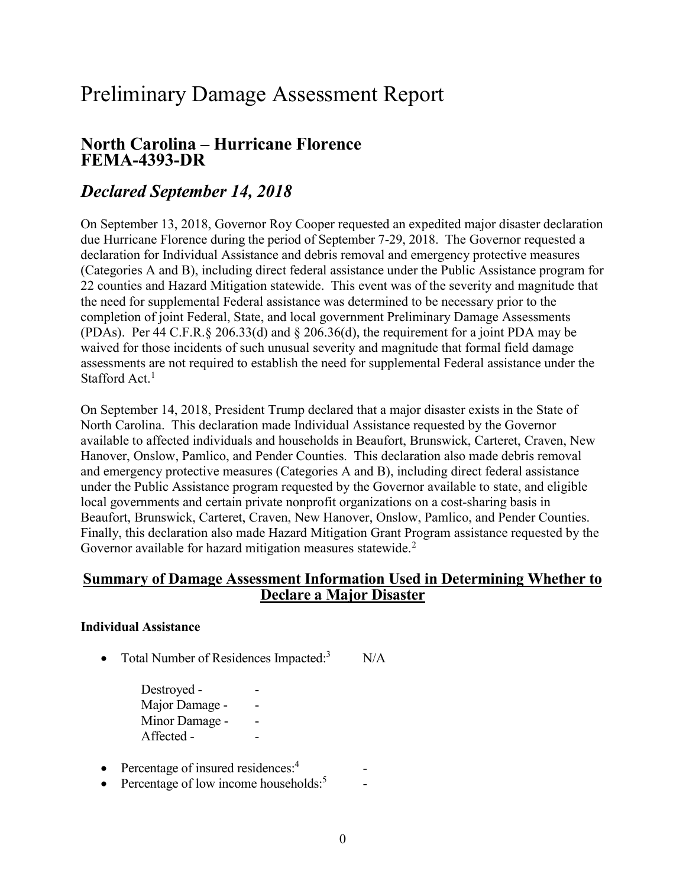# Preliminary Damage Assessment Report

## North Carolina – Hurricane Florence FEMA-4393-DR

# Declared September 14, 2018

 On September 13, 2018, Governor Roy Cooper requested an expedited major disaster declaration due Hurricane Florence during the period of September 7-29, 2018. The Governor requested a declaration for Individual Assistance and debris removal and emergency protective measures (Categories A and B), including direct federal assistance under the Public Assistance program for 22 counties and Hazard Mitigation statewide. This event was of the severity and magnitude that the need for supplemental Federal assistance was determined to be necessary prior to the completion of joint Federal, State, and local government Preliminary Damage Assessments (PDAs). Per 44 C.F.R.§ 206.33(d) and § 206.36(d), the requirement for a joint PDA may be waived for those incidents of such unusual severity and magnitude that formal field damage assessments are not required to establish the need for supplemental Federal assistance under the Stafford Act.<sup>1</sup>

 On September 14, 2018, President Trump declared that a major disaster exists in the State of North Carolina. This declaration made Individual Assistance requested by the Governor available to affected individuals and households in Beaufort, Brunswick, Carteret, Craven, New Hanover, Onslow, Pamlico, and Pender Counties. This declaration also made debris removal and emergency protective measures (Categories A and B), including direct federal assistance under the Public Assistance program requested by the Governor available to state, and eligible local governments and certain private nonprofit organizations on a cost-sharing basis in Beaufort, Brunswick, Carteret, Craven, New Hanover, Onslow, Pamlico, and Pender Counties. Finally, this declaration also made Hazard Mitigation Grant Program assistance requested by the Governor available for hazard mitigation measures statewide.<sup>2</sup>

### Summary of Damage Assessment Information Used in Determining Whether to Declare a Major Disaster

#### Individual Assistance

• Total Number of Residences Impacted: $3$  N/A

Destroyed - The set of the set of the set of the set of the set of the set of the set of the set of the set of the set of the set of the set of the set of the set of the set of the set of the set of the set of the set of t Major Damage - Passer Minor Damage - The -Affected - The set of  $\sim$ 

- Percentage of insured residences:<sup>4</sup> -
- Percentage of low income households: $5$